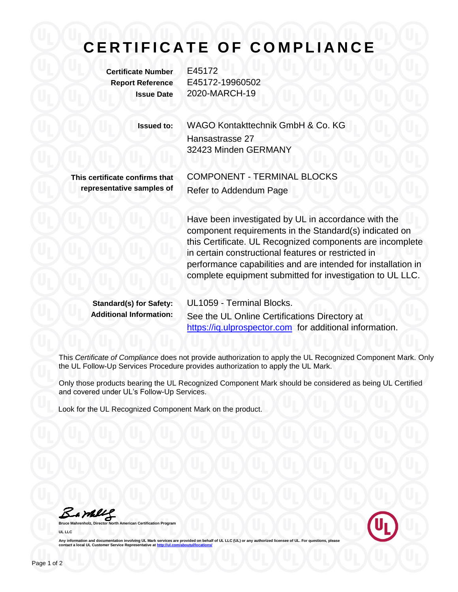# **C E R T I F I C A T E O F C O M P L I A N C E**

**Certificate Number** E45172

**Report Reference** E45172-19960502 **Issue Date** 2020-MARCH-19

> **Issued to:** WAGO Kontakttechnik GmbH & Co. KG Hansastrasse 27 32423 Minden GERMANY

**This certificate confirms that representative samples of** COMPONENT - TERMINAL BLOCKS Refer to Addendum Page

Have been investigated by UL in accordance with the component requirements in the Standard(s) indicated on this Certificate. UL Recognized components are incomplete in certain constructional features or restricted in performance capabilities and are intended for installation in complete equipment submitted for investigation to UL LLC.

**Standard(s) for Safety:** UL1059 - Terminal Blocks.

**Additional Information:** See the UL Online Certifications Directory at [https://iq.ulprospector.com](https://iq.ulprospector.com/) for additional information.

This *Certificate of Compliance* does not provide authorization to apply the UL Recognized Component Mark. Only the UL Follow-Up Services Procedure provides authorization to apply the UL Mark.

Only those products bearing the UL Recognized Component Mark should be considered as being UL Certified and covered under UL's Follow-Up Services.

Look for the UL Recognized Component Mark on the product.

Bambly

**Bruce Mannest Certification Program UL LLC**



Any information and documentation involving UL Mark services are provided on behalf of UL LLC (UL) or any authorized licensee of UL. For questions, please<br>contact a local UL Customer Service Representative at <u>http://ul.co</u>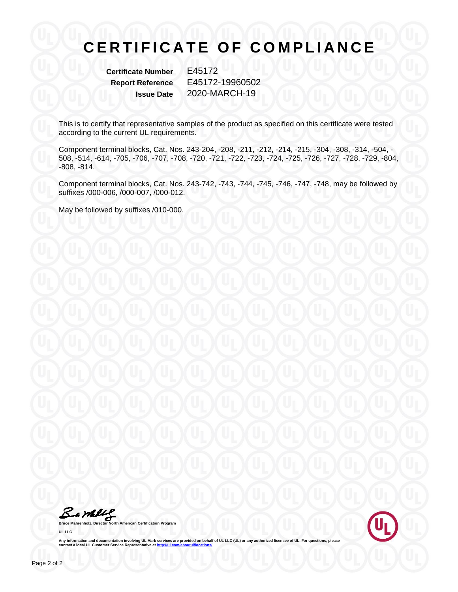# **CERTIFICATE OF COMPLIANCE**

**Certificate Number** E45172

**Report Reference** E45172-19960502 **Issue Date** 2020-MARCH-19

This is to certify that representative samples of the product as specified on this certificate were tested according to the current UL requirements.

Component terminal blocks, Cat. Nos. 243-204, -208, -211, -212, -214, -215, -304, -308, -314, -504, - 508, -514, -614, -705, -706, -707, -708, -720, -721, -722, -723, -724, -725, -726, -727, -728, -729, -804, -808, -814.

Component terminal blocks, Cat. Nos. 243-742, -743, -744, -745, -746, -747, -748, may be followed by suffixes /000-006, /000-007, /000-012.

May be followed by suffixes /010-000.

Barkey

**Bruce Mahrenholz, Director North American Certification Program UL LLC**



Any information and documentation involving UL Mark services are provided on behalf of UL LLC (UL) or any authorized licensee of UL. For questions, please<br>contact a local UL Customer Service Representative at <u>http://ul.co</u>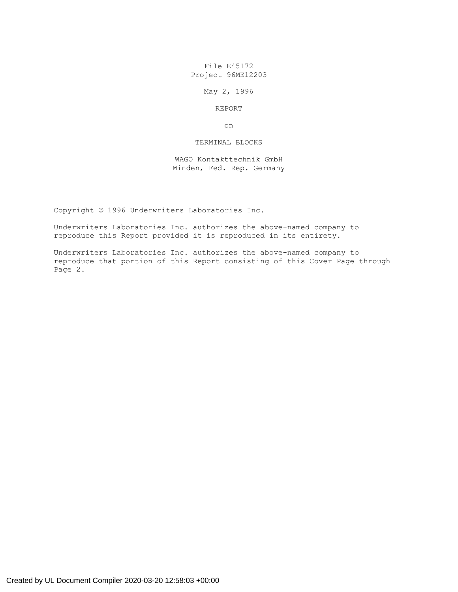File E45172 Project 96ME12203

May 2, 1996

# REPORT

on

## TERMINAL BLOCKS

WAGO Kontakttechnik GmbH Minden, Fed. Rep. Germany

Copyright © 1996 Underwriters Laboratories Inc.

Underwriters Laboratories Inc. authorizes the above-named company to reproduce this Report provided it is reproduced in its entirety.

Underwriters Laboratories Inc. authorizes the above-named company to reproduce that portion of this Report consisting of this Cover Page through Page 2.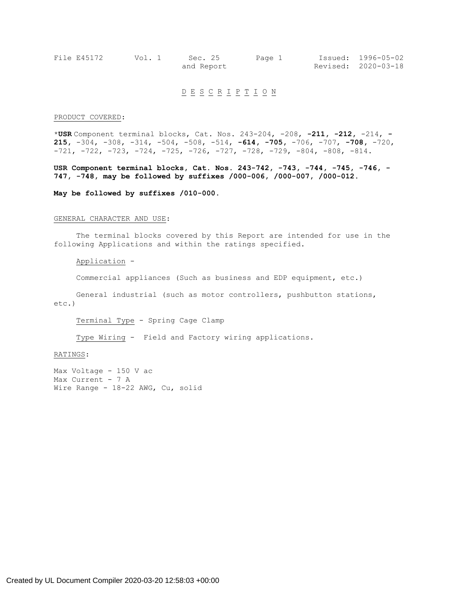| File E45172 | Vol. 1 | Sec. 25    | Page 1 | Issued: 1996-05-02  |
|-------------|--------|------------|--------|---------------------|
|             |        | and Report |        | Revised: 2020-03-18 |

# D E S C R I P T I O N

### PRODUCT COVERED:

\***USR** Component terminal blocks, Cat. Nos. 243-204, -208, **-211, -212,** -214, **- 215,** -304, -308, -314, -504, -508, -514, **-614, -705,** -706, -707, **-708,** -720,  $-721$ ,  $-722$ ,  $-723$ ,  $-724$ ,  $-725$ ,  $-726$ ,  $-727$ ,  $-728$ ,  $-729$ ,  $-804$ ,  $-808$ ,  $-814$ .

**USR Component terminal blocks, Cat. Nos. 243-742, -743, -744, -745, -746, - 747, -748, may be followed by suffixes /000-006, /000-007, /000-012.**

**May be followed by suffixes /010-000.**

#### GENERAL CHARACTER AND USE:

The terminal blocks covered by this Report are intended for use in the following Applications and within the ratings specified.

Application -

Commercial appliances (Such as business and EDP equipment, etc.)

General industrial (such as motor controllers, pushbutton stations, etc.)

Terminal Type - Spring Cage Clamp

Type Wiring - Field and Factory wiring applications.

### RATINGS:

Max Voltage - 150 V ac Max Current - 7 A Wire Range - 18-22 AWG, Cu, solid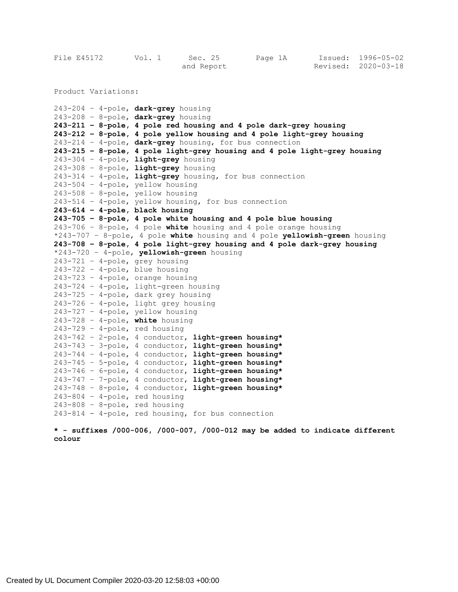| File E45172 | Vol. 1     | Sec. 25 | Page 1A |  | Issued: 1996-05-02  |
|-------------|------------|---------|---------|--|---------------------|
|             | and Report |         |         |  | Revised: 2020-03-18 |

Product Variations:

243-204 – 4-pole, **dark-grey** housing 243-208 – 8-pole, **dark-grey** housing **243-211 – 8-pole, 4 pole red housing and 4 pole dark-grey housing 243-212 – 8-pole, 4 pole yellow housing and 4 pole light-grey housing** 243-214 – 4-pole, **dark-grey** housing, for bus connection **243-215 – 8-pole, 4 pole light-grey housing and 4 pole light-grey housing** 243-304 – 4-pole, **light-grey** housing 243-308 – 8-pole, **light-grey** housing 243-314 – 4-pole, **light-grey** housing, for bus connection 243-504 – 4-pole, yellow housing 243-508 – 8-pole, yellow housing 243-514 – 4-pole, yellow housing, for bus connection **243-614 – 4-pole, black housing 243-705 – 8-pole, 4 pole white housing and 4 pole blue housing** 243-706 – 8–pole, 4 pole **white** housing and 4 pole orange housing \*243-707 – 8–pole, 4 pole **white** housing and 4 pole **yellowish-green** housing **243-708 – 8-pole, 4 pole light-grey housing and 4 pole dark-grey housing** \*243-720 – 4-pole, **yellowish-green** housing 243-721 – 4-pole, grey housing 243-722 – 4-pole, blue housing 243-723 – 4-pole, orange housing 243-724 – 4-pole, light-green housing 243-725 – 4-pole, dark grey housing 243-726 – 4-pole, light grey housing 243-727 – 4-pole, yellow housing 243-728 – 4-pole, **white** housing  $243-729$  - 4-pole, red housing 243-742 – 2-pole, 4 conductor, **light-green housing\*** 243-743 – 3-pole, 4 conductor, **light-green housing\*** 243-744 – 4-pole, 4 conductor, **light-green housing\*** 243-745 – 5-pole, 4 conductor, **light-green housing\*** 243-746 – 6-pole, 4 conductor, **light-green housing\*** 243-747 – 7-pole, 4 conductor, **light-green housing\*** 243-748 – 8-pole, 4 conductor, **light-green housing\*** 243-804 – 4-pole, red housing 243-808 – 8-pole, red housing 243-814 - 4-pole, red housing, for bus connection

**\* - suffixes /000-006, /000-007, /000-012 may be added to indicate different colour**